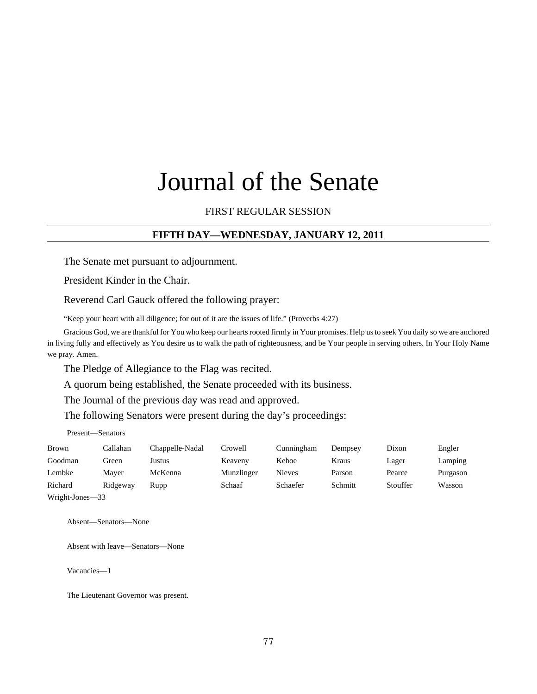# Journal of the Senate

FIRST REGULAR SESSION

#### **FIFTH DAY—WEDNESDAY, JANUARY 12, 2011**

The Senate met pursuant to adjournment.

President Kinder in the Chair.

Reverend Carl Gauck offered the following prayer:

"Keep your heart with all diligence; for out of it are the issues of life." (Proverbs 4:27)

Gracious God, we are thankful for You who keep our hearts rooted firmly in Your promises. Help us to seek You daily so we are anchored in living fully and effectively as You desire us to walk the path of righteousness, and be Your people in serving others. In Your Holy Name we pray. Amen.

The Pledge of Allegiance to the Flag was recited.

A quorum being established, the Senate proceeded with its business.

The Journal of the previous day was read and approved.

The following Senators were present during the day's proceedings:

Present—Senators

| Brown   | Callahan | Chappelle-Nadal | Crowell    | Cunningham | Dempsey | Dixon    | Engler   |
|---------|----------|-----------------|------------|------------|---------|----------|----------|
| Goodman | Green    | Justus          | Keaveny    | Kehoe      | Kraus   | Lager    | Lamping  |
| Lembke  | Maver    | McKenna         | Munzlinger | Nieves     | Parson  | Pearce   | Purgason |
| Richard | Ridgeway | Rupp            | Schaaf     | Schaefer   | Schmitt | Stouffer | Wasson   |
| _______ | - -      |                 |            |            |         |          |          |

Wright-Jones—33

Absent—Senators—None

Absent with leave—Senators—None

Vacancies—1

The Lieutenant Governor was present.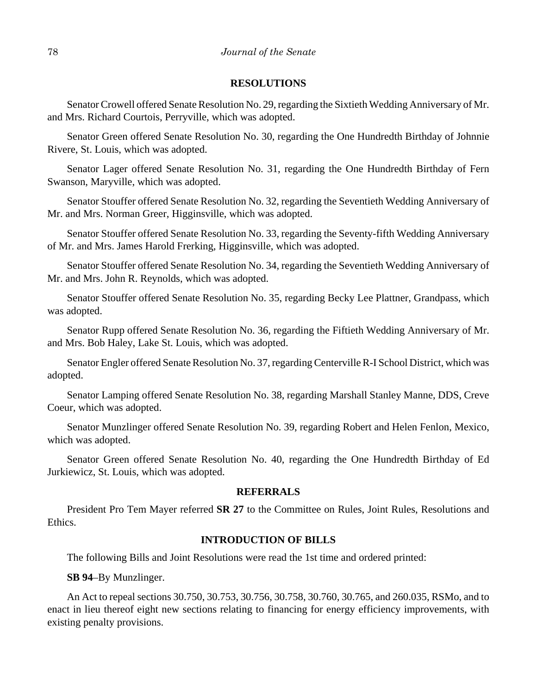#### **RESOLUTIONS**

Senator Crowell offered Senate Resolution No. 29, regarding the Sixtieth Wedding Anniversary of Mr. and Mrs. Richard Courtois, Perryville, which was adopted.

Senator Green offered Senate Resolution No. 30, regarding the One Hundredth Birthday of Johnnie Rivere, St. Louis, which was adopted.

Senator Lager offered Senate Resolution No. 31, regarding the One Hundredth Birthday of Fern Swanson, Maryville, which was adopted.

Senator Stouffer offered Senate Resolution No. 32, regarding the Seventieth Wedding Anniversary of Mr. and Mrs. Norman Greer, Higginsville, which was adopted.

Senator Stouffer offered Senate Resolution No. 33, regarding the Seventy-fifth Wedding Anniversary of Mr. and Mrs. James Harold Frerking, Higginsville, which was adopted.

Senator Stouffer offered Senate Resolution No. 34, regarding the Seventieth Wedding Anniversary of Mr. and Mrs. John R. Reynolds, which was adopted.

Senator Stouffer offered Senate Resolution No. 35, regarding Becky Lee Plattner, Grandpass, which was adopted.

Senator Rupp offered Senate Resolution No. 36, regarding the Fiftieth Wedding Anniversary of Mr. and Mrs. Bob Haley, Lake St. Louis, which was adopted.

Senator Engler offered Senate Resolution No. 37, regarding Centerville R-I School District, which was adopted.

Senator Lamping offered Senate Resolution No. 38, regarding Marshall Stanley Manne, DDS, Creve Coeur, which was adopted.

Senator Munzlinger offered Senate Resolution No. 39, regarding Robert and Helen Fenlon, Mexico, which was adopted.

Senator Green offered Senate Resolution No. 40, regarding the One Hundredth Birthday of Ed Jurkiewicz, St. Louis, which was adopted.

#### **REFERRALS**

President Pro Tem Mayer referred **SR 27** to the Committee on Rules, Joint Rules, Resolutions and Ethics.

#### **INTRODUCTION OF BILLS**

The following Bills and Joint Resolutions were read the 1st time and ordered printed:

#### **SB 94**–By Munzlinger.

An Act to repeal sections 30.750, 30.753, 30.756, 30.758, 30.760, 30.765, and 260.035, RSMo, and to enact in lieu thereof eight new sections relating to financing for energy efficiency improvements, with existing penalty provisions.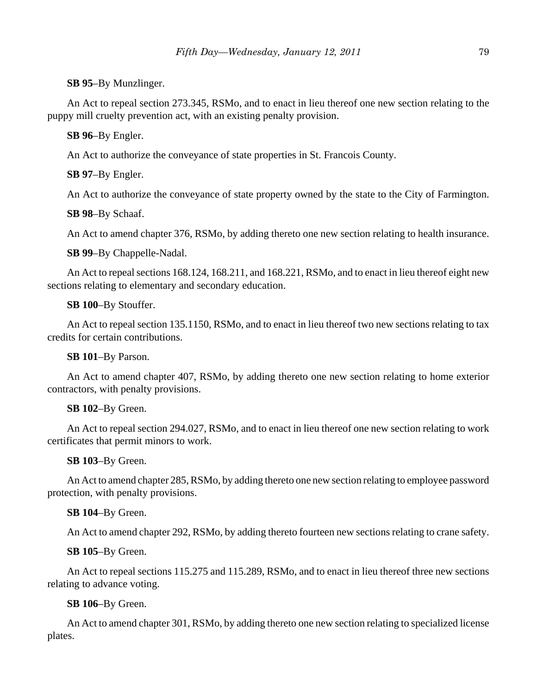**SB 95**–By Munzlinger.

An Act to repeal section 273.345, RSMo, and to enact in lieu thereof one new section relating to the puppy mill cruelty prevention act, with an existing penalty provision.

**SB 96**–By Engler.

An Act to authorize the conveyance of state properties in St. Francois County.

**SB 97**–By Engler.

An Act to authorize the conveyance of state property owned by the state to the City of Farmington.

**SB 98**–By Schaaf.

An Act to amend chapter 376, RSMo, by adding thereto one new section relating to health insurance.

**SB 99**–By Chappelle-Nadal.

An Act to repeal sections 168.124, 168.211, and 168.221, RSMo, and to enact in lieu thereof eight new sections relating to elementary and secondary education.

**SB 100**–By Stouffer.

An Act to repeal section 135.1150, RSMo, and to enact in lieu thereof two new sections relating to tax credits for certain contributions.

**SB 101**–By Parson.

An Act to amend chapter 407, RSMo, by adding thereto one new section relating to home exterior contractors, with penalty provisions.

#### **SB 102**–By Green.

An Act to repeal section 294.027, RSMo, and to enact in lieu thereof one new section relating to work certificates that permit minors to work.

**SB 103**–By Green.

An Act to amend chapter 285, RSMo, by adding thereto one new section relating to employee password protection, with penalty provisions.

**SB 104**–By Green.

An Act to amend chapter 292, RSMo, by adding thereto fourteen new sections relating to crane safety.

**SB 105**–By Green.

An Act to repeal sections 115.275 and 115.289, RSMo, and to enact in lieu thereof three new sections relating to advance voting.

**SB 106**–By Green.

An Act to amend chapter 301, RSMo, by adding thereto one new section relating to specialized license plates.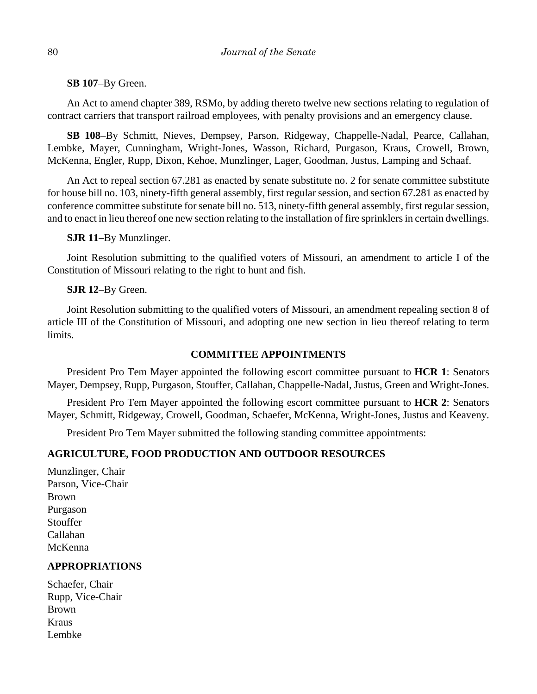**SB 107**–By Green.

An Act to amend chapter 389, RSMo, by adding thereto twelve new sections relating to regulation of contract carriers that transport railroad employees, with penalty provisions and an emergency clause.

**SB 108**–By Schmitt, Nieves, Dempsey, Parson, Ridgeway, Chappelle-Nadal, Pearce, Callahan, Lembke, Mayer, Cunningham, Wright-Jones, Wasson, Richard, Purgason, Kraus, Crowell, Brown, McKenna, Engler, Rupp, Dixon, Kehoe, Munzlinger, Lager, Goodman, Justus, Lamping and Schaaf.

An Act to repeal section 67.281 as enacted by senate substitute no. 2 for senate committee substitute for house bill no. 103, ninety-fifth general assembly, first regular session, and section 67.281 as enacted by conference committee substitute for senate bill no. 513, ninety-fifth general assembly, first regular session, and to enact in lieu thereof one new section relating to the installation of fire sprinklers in certain dwellings.

#### **SJR 11**–By Munzlinger.

Joint Resolution submitting to the qualified voters of Missouri, an amendment to article I of the Constitution of Missouri relating to the right to hunt and fish.

#### **SJR 12**–By Green.

Joint Resolution submitting to the qualified voters of Missouri, an amendment repealing section 8 of article III of the Constitution of Missouri, and adopting one new section in lieu thereof relating to term limits.

## **COMMITTEE APPOINTMENTS**

President Pro Tem Mayer appointed the following escort committee pursuant to **HCR 1**: Senators Mayer, Dempsey, Rupp, Purgason, Stouffer, Callahan, Chappelle-Nadal, Justus, Green and Wright-Jones.

President Pro Tem Mayer appointed the following escort committee pursuant to **HCR 2**: Senators Mayer, Schmitt, Ridgeway, Crowell, Goodman, Schaefer, McKenna, Wright-Jones, Justus and Keaveny.

President Pro Tem Mayer submitted the following standing committee appointments:

## **AGRICULTURE, FOOD PRODUCTION AND OUTDOOR RESOURCES**

Munzlinger, Chair Parson, Vice-Chair Brown Purgason Stouffer Callahan McKenna

## **APPROPRIATIONS**

Schaefer, Chair Rupp, Vice-Chair Brown Kraus Lembke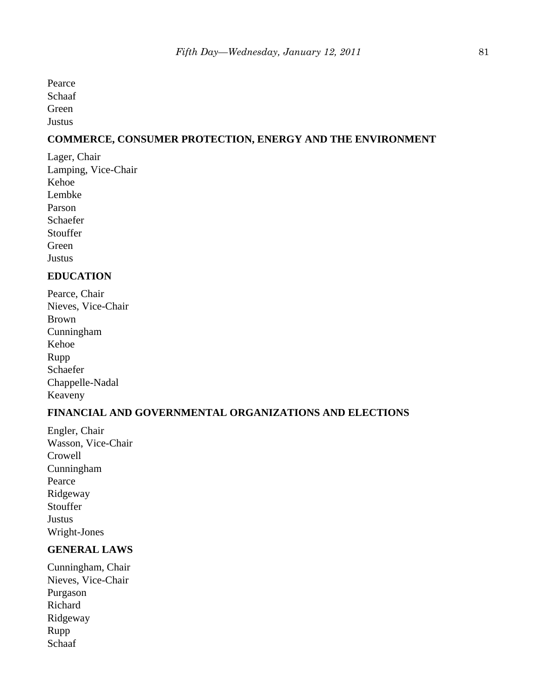Pearce Schaaf Green

Justus

# **COMMERCE, CONSUMER PROTECTION, ENERGY AND THE ENVIRONMENT**

Lager, Chair Lamping, Vice-Chair Kehoe Lembke Parson Schaefer **Stouffer** Green **Justus** 

# **EDUCATION**

Pearce, Chair Nieves, Vice-Chair Brown Cunningham Kehoe Rupp Schaefer Chappelle-Nadal Keaveny

# **FINANCIAL AND GOVERNMENTAL ORGANIZATIONS AND ELECTIONS**

Engler, Chair Wasson, Vice-Chair Crowell Cunningham Pearce Ridgeway Stouffer **Justus** Wright-Jones

# **GENERAL LAWS**

Cunningham, Chair Nieves, Vice-Chair Purgason Richard Ridgeway Rupp Schaaf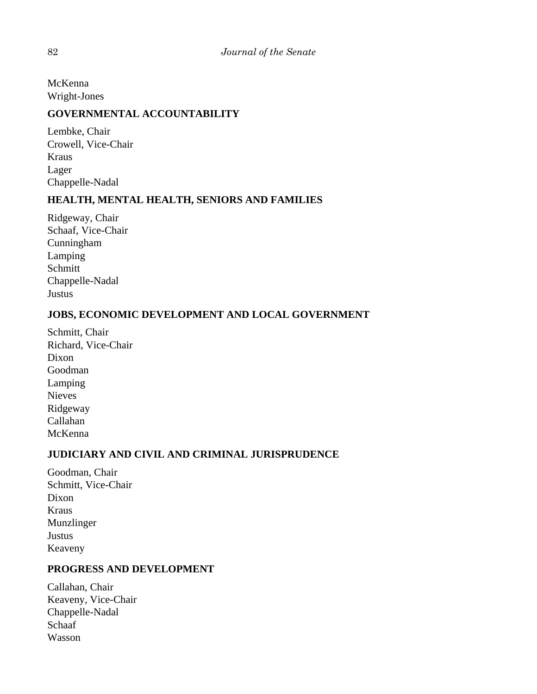McKenna Wright-Jones

# **GOVERNMENTAL ACCOUNTABILITY**

Lembke, Chair Crowell, Vice-Chair Kraus Lager Chappelle-Nadal

# **HEALTH, MENTAL HEALTH, SENIORS AND FAMILIES**

Ridgeway, Chair Schaaf, Vice-Chair Cunningham Lamping Schmitt Chappelle-Nadal Justus

# **JOBS, ECONOMIC DEVELOPMENT AND LOCAL GOVERNMENT**

Schmitt, Chair Richard, Vice-Chair Dixon Goodman Lamping Nieves Ridgeway Callahan McKenna

# **JUDICIARY AND CIVIL AND CRIMINAL JURISPRUDENCE**

Goodman, Chair Schmitt, Vice-Chair Dixon Kraus Munzlinger Justus Keaveny

# **PROGRESS AND DEVELOPMENT**

Callahan, Chair Keaveny, Vice-Chair Chappelle-Nadal Schaaf Wasson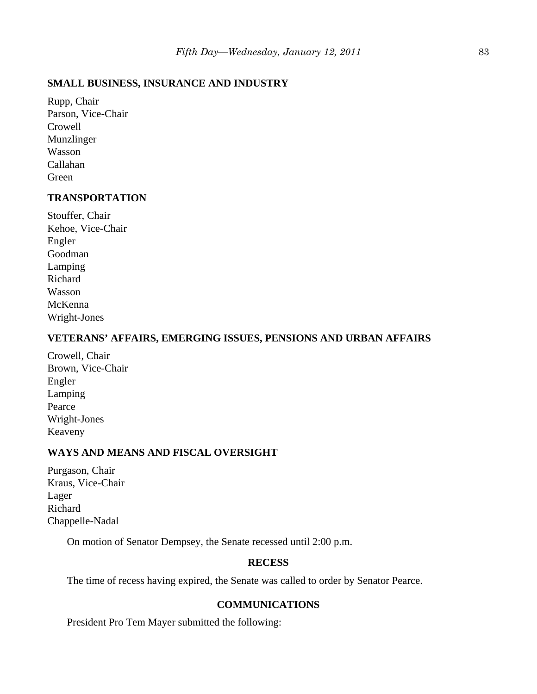## **SMALL BUSINESS, INSURANCE AND INDUSTRY**

Rupp, Chair Parson, Vice-Chair Crowell Munzlinger Wasson Callahan Green

# **TRANSPORTATION**

Stouffer, Chair Kehoe, Vice-Chair Engler Goodman Lamping Richard Wasson McKenna Wright-Jones

### **VETERANS' AFFAIRS, EMERGING ISSUES, PENSIONS AND URBAN AFFAIRS**

Crowell, Chair Brown, Vice-Chair Engler Lamping Pearce Wright-Jones Keaveny

# **WAYS AND MEANS AND FISCAL OVERSIGHT**

Purgason, Chair Kraus, Vice-Chair Lager Richard Chappelle-Nadal

On motion of Senator Dempsey, the Senate recessed until 2:00 p.m.

## **RECESS**

The time of recess having expired, the Senate was called to order by Senator Pearce.

# **COMMUNICATIONS**

President Pro Tem Mayer submitted the following: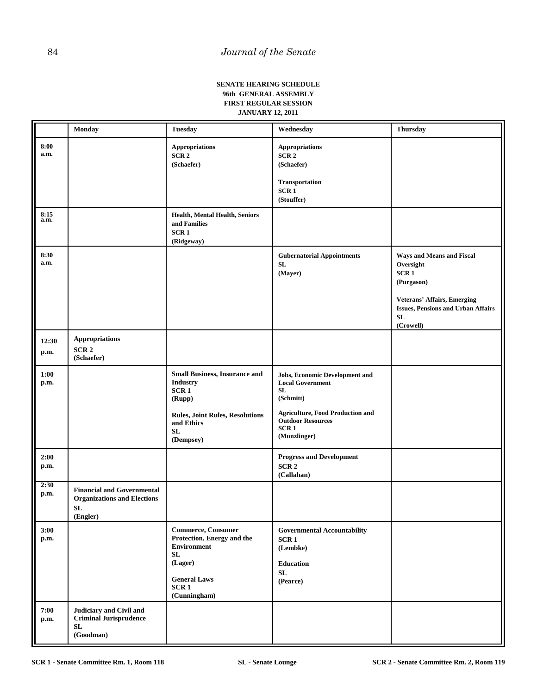#### **SENATE HEARING SCHEDULE 96th GENERAL ASSEMBLY FIRST REGULAR SESSION JANUARY 12, 2011**

|                      | Monday                                                                                    | <b>Tuesday</b>                                                                                                                                       | Wednesday                                                                                                                                                                                             | <b>Thursday</b>                                                                                                                                                                |
|----------------------|-------------------------------------------------------------------------------------------|------------------------------------------------------------------------------------------------------------------------------------------------------|-------------------------------------------------------------------------------------------------------------------------------------------------------------------------------------------------------|--------------------------------------------------------------------------------------------------------------------------------------------------------------------------------|
| 8:00<br>a.m.         |                                                                                           | <b>Appropriations</b><br>SCR <sub>2</sub><br>(Schaefer)                                                                                              | <b>Appropriations</b><br>SCR <sub>2</sub><br>(Schaefer)<br><b>Transportation</b><br>SCR <sub>1</sub><br>(Stouffer)                                                                                    |                                                                                                                                                                                |
| 8:15<br>a.m.         |                                                                                           | Health, Mental Health, Seniors<br>and Families<br>SCR <sub>1</sub><br>(Ridgeway)                                                                     |                                                                                                                                                                                                       |                                                                                                                                                                                |
| 8:30<br>a.m.         |                                                                                           |                                                                                                                                                      | <b>Gubernatorial Appointments</b><br>${\bf SL}$<br>(Mayer)                                                                                                                                            | Ways and Means and Fiscal<br>Oversight<br>SCR <sub>1</sub><br>(Purgason)<br><b>Veterans' Affairs, Emerging</b><br><b>Issues, Pensions and Urban Affairs</b><br>SL<br>(Crowell) |
| 12:30<br>p.m.        | <b>Appropriations</b><br>SCR <sub>2</sub><br>(Schaefer)                                   |                                                                                                                                                      |                                                                                                                                                                                                       |                                                                                                                                                                                |
| 1:00<br>p.m.         |                                                                                           | <b>Small Business, Insurance and</b><br><b>Industry</b><br>SCR1<br>(Rupp)<br><b>Rules, Joint Rules, Resolutions</b><br>and Ethics<br>SL<br>(Dempsey) | <b>Jobs, Economic Development and</b><br><b>Local Government</b><br><b>SL</b><br>(Schmitt)<br><b>Agriculture, Food Production and</b><br><b>Outdoor Resources</b><br>SCR <sub>1</sub><br>(Munzlinger) |                                                                                                                                                                                |
| 2:00<br>p.m.         |                                                                                           |                                                                                                                                                      | <b>Progress and Development</b><br>SCR <sub>2</sub><br>(Callahan)                                                                                                                                     |                                                                                                                                                                                |
| 2:30<br>p.m.         | <b>Financial and Governmental</b><br><b>Organizations and Elections</b><br>SL<br>(Engler) |                                                                                                                                                      |                                                                                                                                                                                                       |                                                                                                                                                                                |
| 3:00<br>p.m.<br>7:00 | Judiciary and Civil and                                                                   | <b>Commerce, Consumer</b><br>Protection, Energy and the<br>Environment<br>SL<br>(Lager)<br><b>General Laws</b><br>SCR <sub>1</sub><br>(Cunningham)   | <b>Governmental Accountability</b><br>SCR <sub>1</sub><br>(Lembke)<br><b>Education</b><br>${\bf SL}$<br>(Pearce)                                                                                      |                                                                                                                                                                                |
| p.m.                 | <b>Criminal Jurisprudence</b><br>${\bf SL}$<br>(Goodman)                                  |                                                                                                                                                      |                                                                                                                                                                                                       |                                                                                                                                                                                |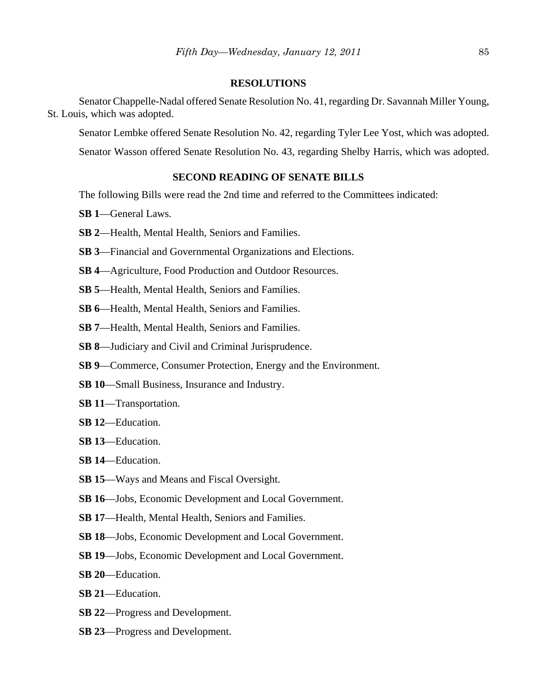#### **RESOLUTIONS**

Senator Chappelle-Nadal offered Senate Resolution No. 41, regarding Dr. Savannah Miller Young, St. Louis, which was adopted.

Senator Lembke offered Senate Resolution No. 42, regarding Tyler Lee Yost, which was adopted.

Senator Wasson offered Senate Resolution No. 43, regarding Shelby Harris, which was adopted.

## **SECOND READING OF SENATE BILLS**

The following Bills were read the 2nd time and referred to the Committees indicated:

- **SB 1**—General Laws.
- **SB 2**—Health, Mental Health, Seniors and Families.
- **SB 3**—Financial and Governmental Organizations and Elections.
- **SB 4**—Agriculture, Food Production and Outdoor Resources.
- **SB 5**—Health, Mental Health, Seniors and Families.
- **SB 6**—Health, Mental Health, Seniors and Families.
- **SB 7**—Health, Mental Health, Seniors and Families.
- **SB 8**—Judiciary and Civil and Criminal Jurisprudence.
- **SB 9**—Commerce, Consumer Protection, Energy and the Environment.
- **SB 10**—Small Business, Insurance and Industry.
- **SB 11**—Transportation.
- **SB 12**—Education.
- **SB 13**—Education.
- **SB 14**—Education.
- **SB 15**—Ways and Means and Fiscal Oversight.
- **SB 16**—Jobs, Economic Development and Local Government.
- **SB 17**—Health, Mental Health, Seniors and Families.
- **SB 18**—Jobs, Economic Development and Local Government.
- **SB 19**—Jobs, Economic Development and Local Government.
- **SB 20**—Education.
- **SB 21**—Education.
- **SB 22**—Progress and Development.
- **SB 23**—Progress and Development.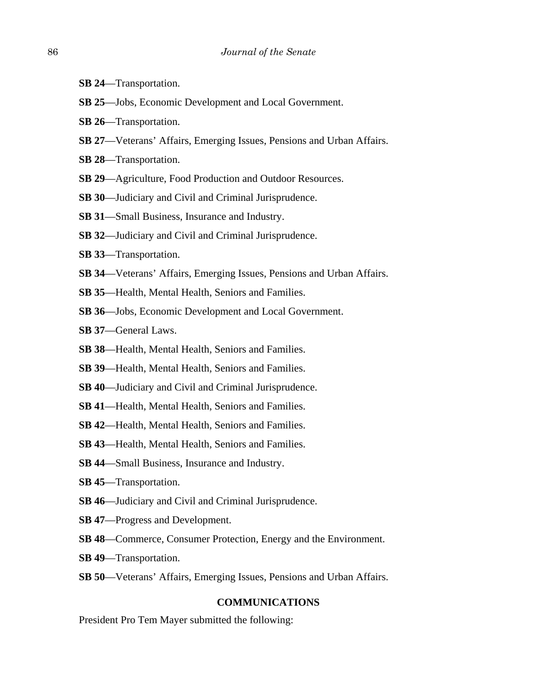- **SB 24**—Transportation.
- **SB 25**—Jobs, Economic Development and Local Government.
- **SB 26**—Transportation.
- **SB 27**—Veterans' Affairs, Emerging Issues, Pensions and Urban Affairs.
- **SB 28**—Transportation.
- **SB 29**—Agriculture, Food Production and Outdoor Resources.
- **SB 30**—Judiciary and Civil and Criminal Jurisprudence.
- **SB 31**—Small Business, Insurance and Industry.
- **SB 32**—Judiciary and Civil and Criminal Jurisprudence.
- **SB 33**—Transportation.
- **SB 34**—Veterans' Affairs, Emerging Issues, Pensions and Urban Affairs.
- **SB 35**—Health, Mental Health, Seniors and Families.
- **SB 36**—Jobs, Economic Development and Local Government.
- **SB 37**—General Laws.
- **SB 38**—Health, Mental Health, Seniors and Families.
- **SB 39**—Health, Mental Health, Seniors and Families.
- **SB 40**—Judiciary and Civil and Criminal Jurisprudence.
- **SB 41**—Health, Mental Health, Seniors and Families.
- **SB 42**—Health, Mental Health, Seniors and Families.
- **SB 43**—Health, Mental Health, Seniors and Families.
- **SB 44**—Small Business, Insurance and Industry.
- **SB 45**—Transportation.
- **SB 46**—Judiciary and Civil and Criminal Jurisprudence.
- **SB 47**—Progress and Development.
- **SB 48**—Commerce, Consumer Protection, Energy and the Environment.
- **SB 49**—Transportation.
- **SB 50**—Veterans' Affairs, Emerging Issues, Pensions and Urban Affairs.

#### **COMMUNICATIONS**

President Pro Tem Mayer submitted the following: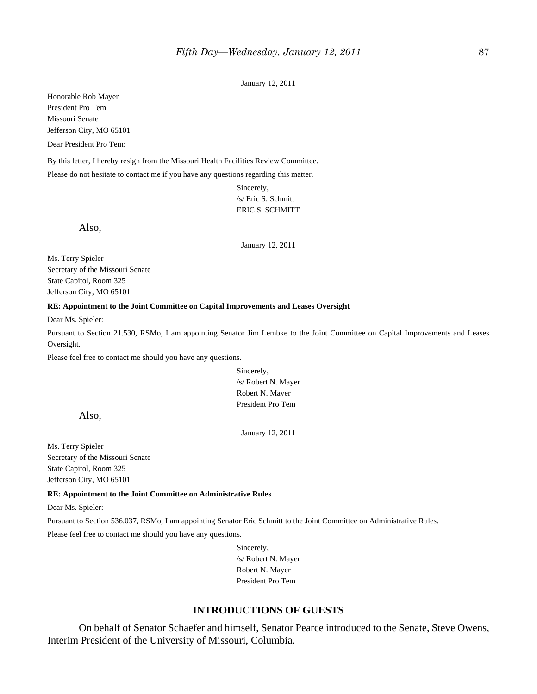January 12, 2011

Honorable Rob Mayer President Pro Tem Missouri Senate Jefferson City, MO 65101

Dear President Pro Tem:

By this letter, I hereby resign from the Missouri Health Facilities Review Committee. Please do not hesitate to contact me if you have any questions regarding this matter.

> Sincerely, /s/ Eric S. Schmitt ERIC S. SCHMITT

Also,

January 12, 2011

Ms. Terry Spieler Secretary of the Missouri Senate State Capitol, Room 325 Jefferson City, MO 65101

#### **RE: Appointment to the Joint Committee on Capital Improvements and Leases Oversight**

Dear Ms. Spieler:

Pursuant to Section 21.530, RSMo, I am appointing Senator Jim Lembke to the Joint Committee on Capital Improvements and Leases Oversight.

Please feel free to contact me should you have any questions.

Sincerely, /s/ Robert N. Mayer Robert N. Mayer President Pro Tem

Also,

January 12, 2011

Ms. Terry Spieler Secretary of the Missouri Senate State Capitol, Room 325 Jefferson City, MO 65101

#### **RE: Appointment to the Joint Committee on Administrative Rules**

Dear Ms. Spieler:

Pursuant to Section 536.037, RSMo, I am appointing Senator Eric Schmitt to the Joint Committee on Administrative Rules.

Please feel free to contact me should you have any questions.

Sincerely, /s/ Robert N. Mayer Robert N. Mayer President Pro Tem

#### **INTRODUCTIONS OF GUESTS**

On behalf of Senator Schaefer and himself, Senator Pearce introduced to the Senate, Steve Owens, Interim President of the University of Missouri, Columbia.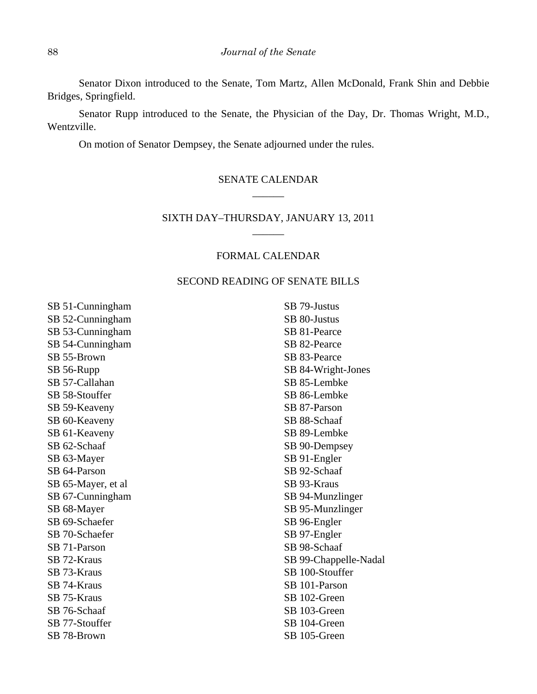Senator Dixon introduced to the Senate, Tom Martz, Allen McDonald, Frank Shin and Debbie Bridges, Springfield.

Senator Rupp introduced to the Senate, the Physician of the Day, Dr. Thomas Wright, M.D., Wentzville.

On motion of Senator Dempsey, the Senate adjourned under the rules.

# SENATE CALENDAR \_\_\_\_\_\_

## SIXTH DAY–THURSDAY, JANUARY 13, 2011  $\overline{\phantom{a}}$

## FORMAL CALENDAR

#### SECOND READING OF SENATE BILLS

SB 51-Cunningham SB 52-Cunningham SB 53-Cunningham SB 54-Cunningham SB 55-Brown SB 56-Rupp SB 57-Callahan SB 58-Stouffer SB 59-Keaveny SB 60-Keaveny SB 61-Keaveny SB 62-Schaaf SB 63-Mayer SB 64-Parson SB 65-Mayer, et al SB 67-Cunningham SB 68-Mayer SB 69-Schaefer SB 70-Schaefer SB 71-Parson SB 72-Kraus SB 73-Kraus SB 74-Kraus SB 75-Kraus SB 76-Schaaf SB 77-Stouffer SB 78-Brown

SB 79-Justus SB 80-Justus SB 81-Pearce SB 82-Pearce SB 83-Pearce SB 84-Wright-Jones SB 85-Lembke SB 86-Lembke SB 87-Parson SB 88-Schaaf SB 89-Lembke SB 90-Dempsey SB 91-Engler SB 92-Schaaf SB 93-Kraus SB 94-Munzlinger SB 95-Munzlinger SB 96-Engler SB 97-Engler SB 98-Schaaf SB 99-Chappelle-Nadal SB 100-Stouffer SB 101-Parson SB 102-Green SB 103-Green SB 104-Green SB 105-Green